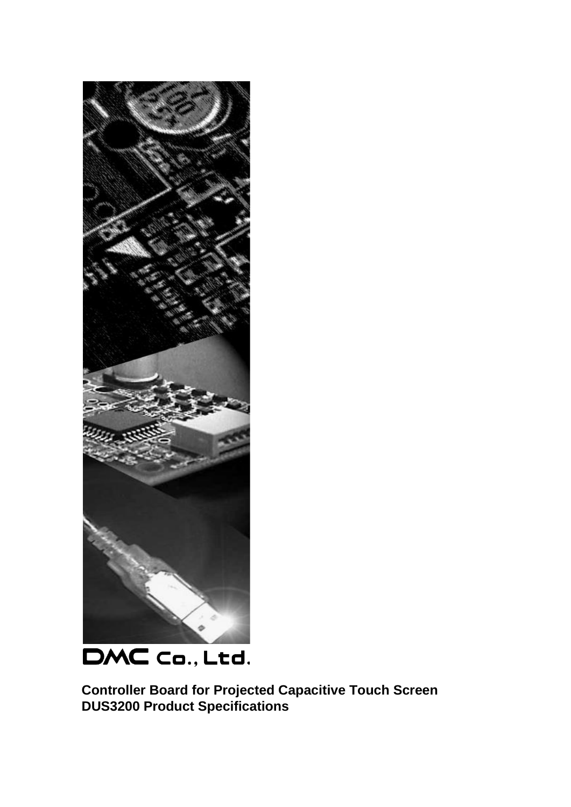

DMC Co., Ltd.

**Controller Board for Projected Capacitive Touch Screen DUS3200 Product Specifications**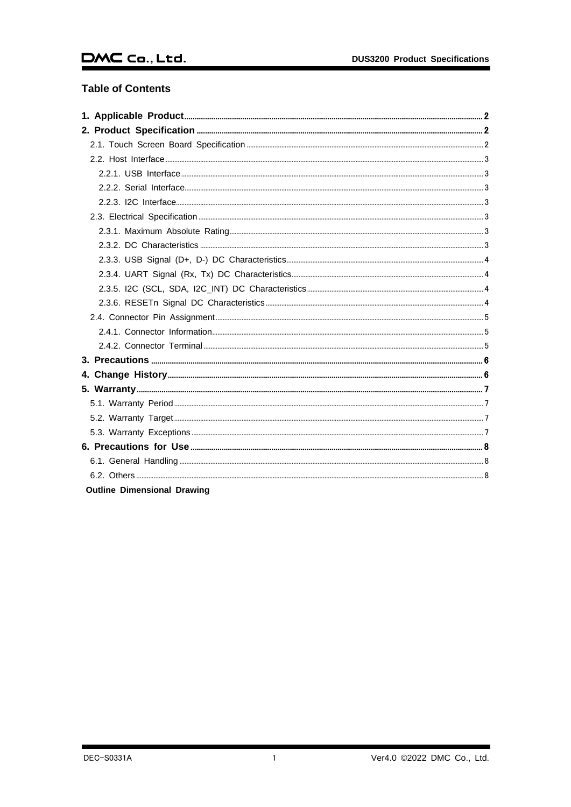# $DMC$  Co., Ltd.

# **Table of Contents**

| <b>Outline Dimensional Drawing</b> |  |
|------------------------------------|--|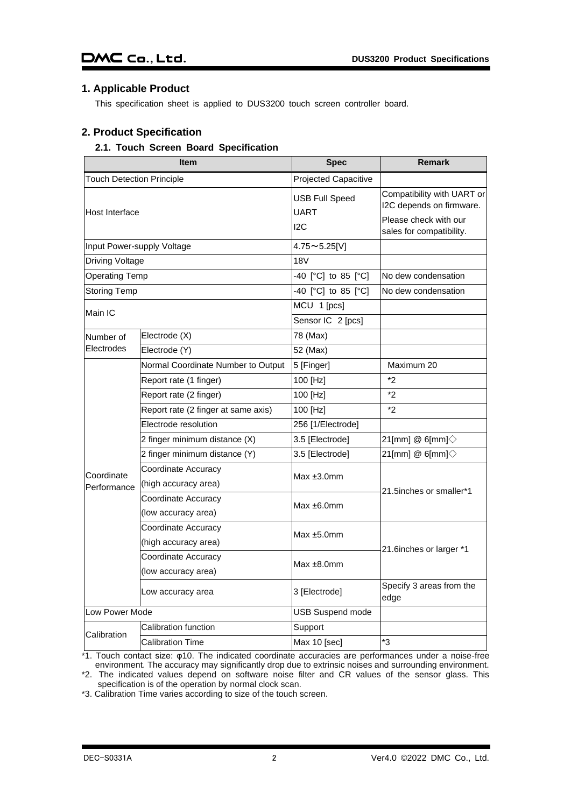# <span id="page-2-0"></span>**1. Applicable Product**

This specification sheet is applied to DUS3200 touch screen controller board.

# <span id="page-2-1"></span>**2. Product Specification**

#### <span id="page-2-2"></span>**2.1. Touch Screen Board Specification**

|                                  | <b>Item</b>                                 | <b>Spec</b>                                 | <b>Remark</b>                                                                                               |  |
|----------------------------------|---------------------------------------------|---------------------------------------------|-------------------------------------------------------------------------------------------------------------|--|
| <b>Touch Detection Principle</b> |                                             | Projected Capacitive                        |                                                                                                             |  |
| Host Interface                   |                                             | <b>USB Full Speed</b><br><b>UART</b><br>12C | Compatibility with UART or<br>I2C depends on firmware.<br>Please check with our<br>sales for compatibility. |  |
| Input Power-supply Voltage       |                                             | $4.75 \sim 5.25$ [V]                        |                                                                                                             |  |
| <b>Driving Voltage</b>           |                                             | 18V                                         |                                                                                                             |  |
| <b>Operating Temp</b>            |                                             | -40 [°C] to 85 [°C]                         | No dew condensation                                                                                         |  |
| <b>Storing Temp</b>              |                                             | -40 [°C] to 85 [°C]                         | No dew condensation                                                                                         |  |
|                                  |                                             | MCU 1 [pcs]                                 |                                                                                                             |  |
| Main IC                          |                                             | Sensor IC 2 [pcs]                           |                                                                                                             |  |
| Number of                        | Electrode (X)                               | 78 (Max)                                    |                                                                                                             |  |
| Electrodes                       | Electrode (Y)                               | 52 (Max)                                    |                                                                                                             |  |
|                                  | Normal Coordinate Number to Output          | 5 [Finger]                                  | Maximum 20                                                                                                  |  |
|                                  | Report rate (1 finger)                      | 100 [Hz]                                    | *2                                                                                                          |  |
|                                  | Report rate (2 finger)                      | 100 [Hz]                                    | $*$                                                                                                         |  |
|                                  | Report rate (2 finger at same axis)         | 100 [Hz]                                    | *2                                                                                                          |  |
|                                  | Electrode resolution                        | 256 [1/Electrode]                           |                                                                                                             |  |
|                                  | 2 finger minimum distance (X)               | 3.5 [Electrode]                             | 21[mm] @ 6[mm] $\diamondsuit$                                                                               |  |
|                                  | 2 finger minimum distance (Y)               | 3.5 [Electrode]                             | 21[mm] @ 6[mm] $\diamondsuit$                                                                               |  |
| Coordinate<br>Performance        | Coordinate Accuracy<br>(high accuracy area) | Max $±3.0$ mm                               | 21.5inches or smaller*1                                                                                     |  |
|                                  | Coordinate Accuracy<br>(low accuracy area)  | Max $±6.0$ mm                               |                                                                                                             |  |
|                                  | Coordinate Accuracy<br>(high accuracy area) | Max $±5.0$ mm                               |                                                                                                             |  |
|                                  | Coordinate Accuracy<br>(low accuracy area)  | Max $±8.0$ mm                               | 21.6 inches or larger *1                                                                                    |  |
|                                  | Low accuracy area                           | 3 [Electrode]                               | Specify 3 areas from the<br>edge                                                                            |  |
| Low Power Mode                   |                                             | <b>USB Suspend mode</b>                     |                                                                                                             |  |
| Calibration                      | Calibration function                        | Support                                     |                                                                                                             |  |
|                                  | Calibration Time                            | Max 10 [sec]                                | *3                                                                                                          |  |

\*1. Touch contact size: φ10. The indicated coordinate accuracies are performances under a noise-free environment. The accuracy may significantly drop due to extrinsic noises and surrounding environment.

\*2. The indicated values depend on software noise filter and CR values of the sensor glass. This specification is of the operation by normal clock scan.

\*3. Calibration Time varies according to size of the touch screen.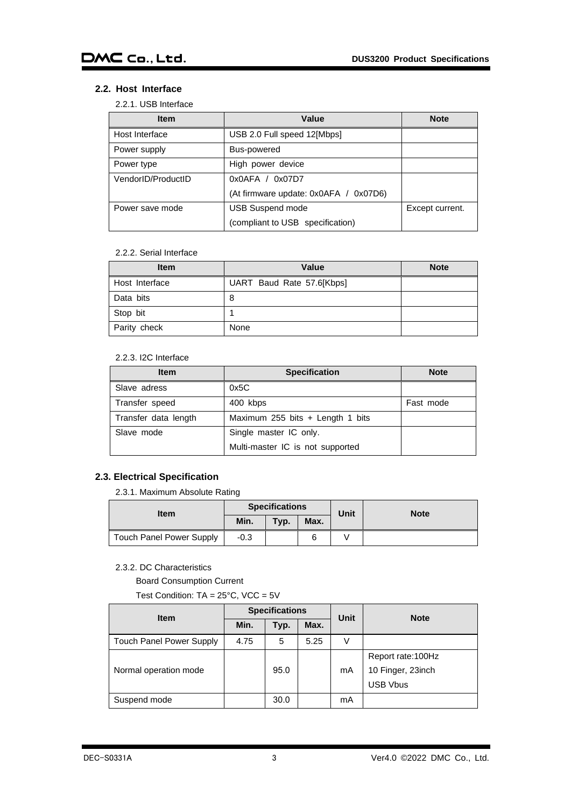# <span id="page-3-1"></span><span id="page-3-0"></span>**2.2. Host Interface**

#### 2.2.1. USB Interface

| <b>Item</b>        | Value                                 | <b>Note</b>     |  |  |
|--------------------|---------------------------------------|-----------------|--|--|
| Host Interface     | USB 2.0 Full speed 12[Mbps]           |                 |  |  |
| Power supply       | Bus-powered                           |                 |  |  |
| Power type         | High power device                     |                 |  |  |
| VendorID/ProductID | 0x0AFA / 0x07D7                       |                 |  |  |
|                    | (At firmware update: 0x0AFA / 0x07D6) |                 |  |  |
| Power save mode    | <b>USB Suspend mode</b>               | Except current. |  |  |
|                    | (compliant to USB specification)      |                 |  |  |

#### 2.2.2. Serial Interface

<span id="page-3-2"></span>

| <b>Item</b>    | Value                     | <b>Note</b> |
|----------------|---------------------------|-------------|
| Host Interface | UART Baud Rate 57.6[Kbps] |             |
| Data bits      | 8                         |             |
| Stop bit       |                           |             |
| Parity check   | None                      |             |

#### 2.2.3. I2C Interface

<span id="page-3-3"></span>

| <b>Item</b>          | <b>Specification</b>             | <b>Note</b> |
|----------------------|----------------------------------|-------------|
| Slave adress         | 0x5C                             |             |
| Transfer speed       | 400 kbps                         | Fast mode   |
| Transfer data length | Maximum 255 bits + Length 1 bits |             |
| Slave mode           | Single master IC only.           |             |
|                      | Multi-master IC is not supported |             |

# <span id="page-3-5"></span><span id="page-3-4"></span>**2.3. Electrical Specification**

2.3.1. Maximum Absolute Rating

| <b>Item</b>                     | <b>Specifications</b> |      |      | Unit | <b>Note</b> |
|---------------------------------|-----------------------|------|------|------|-------------|
|                                 | Min.                  | Typ. | Max. |      |             |
| <b>Touch Panel Power Supply</b> | $-0.3$                |      |      |      |             |

## <span id="page-3-6"></span>2.3.2. DC Characteristics

Board Consumption Current

Test Condition: TA = 25°C, VCC = 5V

| <b>Item</b>                     | <b>Specifications</b> |      |      | Unit | <b>Note</b>                                                |
|---------------------------------|-----------------------|------|------|------|------------------------------------------------------------|
|                                 | Min.                  | Typ. | Max. |      |                                                            |
| <b>Touch Panel Power Supply</b> | 4.75                  | 5    | 5.25 | V    |                                                            |
| Normal operation mode           |                       | 95.0 |      | mA   | Report rate: 100Hz<br>10 Finger, 23inch<br><b>USB Vbus</b> |
| Suspend mode                    |                       | 30.0 |      | mA   |                                                            |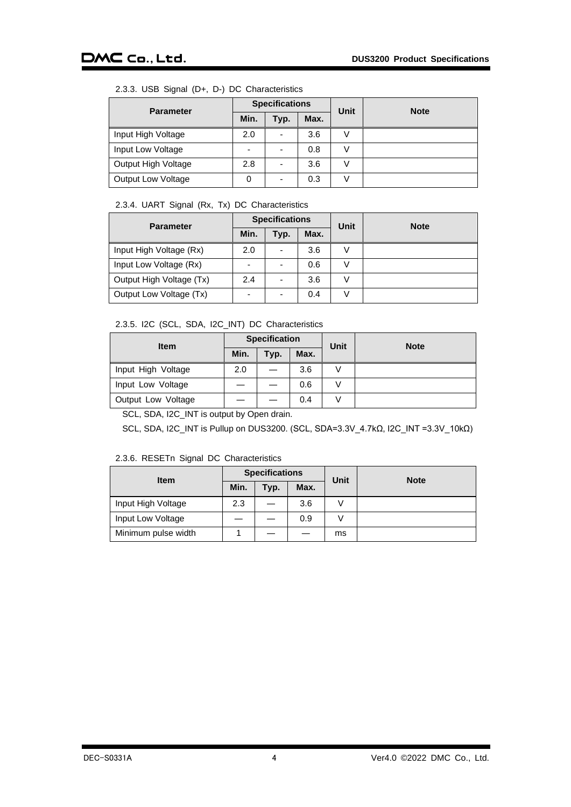# 2.3.3. USB Signal (D+, D-) DC Characteristics

<span id="page-4-0"></span>

| <b>Parameter</b>          | <b>Specifications</b> |                          |      | Unit          | <b>Note</b> |
|---------------------------|-----------------------|--------------------------|------|---------------|-------------|
|                           | Min.                  | Typ.                     | Max. |               |             |
| Input High Voltage        | 2.0                   | $\overline{\phantom{0}}$ | 3.6  |               |             |
| Input Low Voltage         | -                     | -                        | 0.8  |               |             |
| Output High Voltage       | 2.8                   |                          | 3.6  | V             |             |
| <b>Output Low Voltage</b> |                       |                          | 0.3  | $\mathcal{L}$ |             |

# 2.3.4. UART Signal (Rx, Tx) DC Characteristics

<span id="page-4-1"></span>

| <b>Parameter</b>         | <b>Specifications</b> |                          |      | <b>Unit</b> | <b>Note</b> |
|--------------------------|-----------------------|--------------------------|------|-------------|-------------|
|                          | Min.                  | Typ.                     | Max. |             |             |
| Input High Voltage (Rx)  | 2.0                   | $\overline{\phantom{0}}$ | 3.6  |             |             |
| Input Low Voltage (Rx)   | -                     | $\overline{\phantom{0}}$ | 0.6  |             |             |
| Output High Voltage (Tx) | 2.4                   | $\overline{\phantom{0}}$ | 3.6  | V           |             |
| Output Low Voltage (Tx)  | -                     | $\overline{\phantom{0}}$ | 0.4  | V           |             |

## 2.3.5. I2C (SCL, SDA, I2C\_INT) DC Characteristics

<span id="page-4-2"></span>

| <b>Item</b>        | <b>Specification</b> |      |      | Unit          | <b>Note</b> |
|--------------------|----------------------|------|------|---------------|-------------|
|                    | Min.                 | Typ. | Max. |               |             |
| Input High Voltage | 2.0                  |      | 3.6  |               |             |
| Input Low Voltage  |                      |      | 0.6  | $\mathcal{L}$ |             |
| Output Low Voltage |                      |      | 0.4  | $\mathcal{L}$ |             |

SCL, SDA, I2C\_INT is output by Open drain.

SCL, SDA, I2C\_INT is Pullup on DUS3200. (SCL, SDA=3.3V\_4.7kΩ, I2C\_INT =3.3V\_10kΩ)

#### 2.3.6. RESETn Signal DC Characteristics

<span id="page-4-3"></span>

| <b>Item</b>         | <b>Specifications</b> |      |      | <b>Unit</b> | <b>Note</b> |
|---------------------|-----------------------|------|------|-------------|-------------|
|                     | Min.                  | Typ. | Max. |             |             |
| Input High Voltage  | 2.3                   |      | 3.6  |             |             |
| Input Low Voltage   |                       |      | 0.9  |             |             |
| Minimum pulse width |                       |      |      | ms          |             |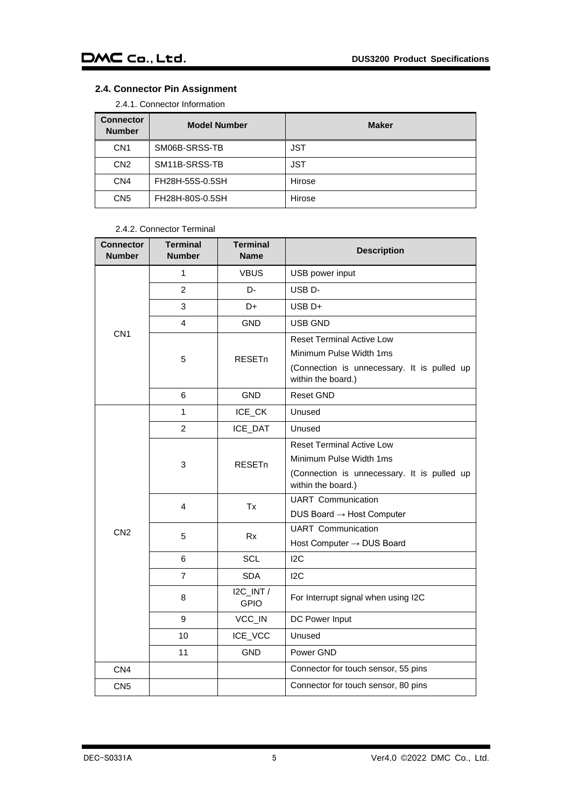# <span id="page-5-1"></span><span id="page-5-0"></span>**2.4. Connector Pin Assignment**

2.4.1. Connector Information

| <b>Connector</b><br><b>Number</b> | <b>Model Number</b> | <b>Maker</b> |
|-----------------------------------|---------------------|--------------|
| CN <sub>1</sub>                   | SM06B-SRSS-TB       | <b>JST</b>   |
| CN <sub>2</sub>                   | SM11B-SRSS-TB       | <b>JST</b>   |
| CN <sub>4</sub>                   | FH28H-55S-0.5SH     | Hirose       |
| CN <sub>5</sub>                   | FH28H-80S-0.5SH     | Hirose       |

#### 2.4.2. Connector Terminal

<span id="page-5-2"></span>

| Connector<br><b>Number</b> | <b>Terminal</b><br><b>Number</b> | <b>Terminal</b><br><b>Name</b> | <b>Description</b>                                                |
|----------------------------|----------------------------------|--------------------------------|-------------------------------------------------------------------|
| CN <sub>1</sub>            | 1                                | <b>VBUS</b>                    | USB power input                                                   |
|                            | $\overline{2}$                   | D-                             | USB <sub>D</sub> -                                                |
|                            | 3                                | D+                             | $USB$ D+                                                          |
|                            | $\overline{4}$                   | GND                            | USB GND                                                           |
|                            | 5                                | <b>RESET<sub>n</sub></b>       | <b>Reset Terminal Active Low</b>                                  |
|                            |                                  |                                | Minimum Pulse Width 1ms                                           |
|                            |                                  |                                | (Connection is unnecessary. It is pulled up<br>within the board.) |
|                            | 6                                | <b>GND</b>                     | <b>Reset GND</b>                                                  |
| CN <sub>2</sub>            | 1                                | ICE_CK                         | Unused                                                            |
|                            | $\overline{2}$                   | ICE_DAT                        | Unused                                                            |
|                            | 3                                | <b>RESET<sub>n</sub></b>       | <b>Reset Terminal Active Low</b>                                  |
|                            |                                  |                                | Minimum Pulse Width 1ms                                           |
|                            |                                  |                                | (Connection is unnecessary. It is pulled up<br>within the board.) |
|                            | $\overline{\mathbf{4}}$          | Tx                             | <b>UART</b> Communication                                         |
|                            |                                  |                                | DUS Board $\rightarrow$ Host Computer                             |
|                            | 5                                | <b>Rx</b>                      | <b>UART</b> Communication                                         |
|                            |                                  |                                | Host Computer $\rightarrow$ DUS Board                             |
|                            | 6                                | SCL                            | 12C                                                               |
|                            | $\overline{7}$                   | <b>SDA</b>                     | 12C                                                               |
|                            | 8                                | I2C_INT /<br><b>GPIO</b>       | For Interrupt signal when using I2C                               |
|                            | 9                                | VCC_IN                         | DC Power Input                                                    |
|                            | 10                               | ICE_VCC                        | Unused                                                            |
|                            | 11                               | <b>GND</b>                     | Power GND                                                         |
| CN <sub>4</sub>            |                                  |                                | Connector for touch sensor, 55 pins                               |
| CN <sub>5</sub>            |                                  |                                | Connector for touch sensor, 80 pins                               |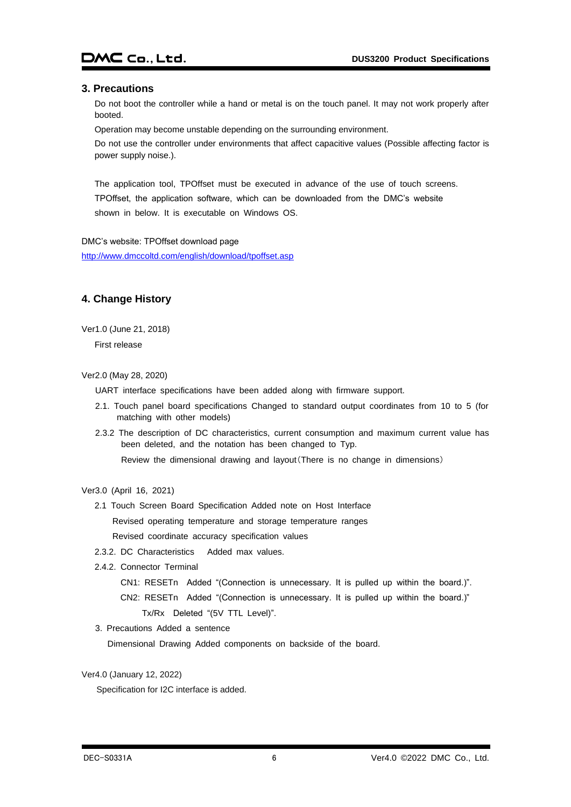#### <span id="page-6-0"></span>**3. Precautions**

Do not boot the controller while a hand or metal is on the touch panel. It may not work properly after booted.

Operation may become unstable depending on the surrounding environment.

Do not use the controller under environments that affect capacitive values (Possible affecting factor is power supply noise.).

The application tool, TPOffset must be executed in advance of the use of touch screens. TPOffset, the application software, which can be downloaded from the DMC's website shown in below. It is executable on Windows OS.

DMC's website: TPOffset download page <http://www.dmccoltd.com/english/download/tpoffset.asp>

# <span id="page-6-1"></span>**4. Change History**

Ver1.0 (June 21, 2018)

First release

Ver2.0 (May 28, 2020)

UART interface specifications have been added along with firmware support.

- 2.1. Touch panel board specifications Changed to standard output coordinates from 10 to 5 (for matching with other models)
- 2.3.2 The description of DC characteristics, current consumption and maximum current value has been deleted, and the notation has been changed to Typ.

Review the dimensional drawing and layout(There is no change in dimensions)

- 2.1 Touch Screen Board Specification Added note on Host Interface Revised operating temperature and storage temperature ranges Revised coordinate accuracy specification values
- 2.3.2. DC Characteristics Added max values.
- 2.4.2. Connector Terminal
	- CN1: RESETn Added "(Connection is unnecessary. It is pulled up within the board.)".

CN2: RESETn Added "(Connection is unnecessary. It is pulled up within the board.)"

Tx/Rx Deleted "(5V TTL Level)".

3. Precautions Added a sentence

Dimensional Drawing Added components on backside of the board.

Ver4.0 (January 12, 2022)

Specification for I2C interface is added.

Ver3.0 (April 16, 2021)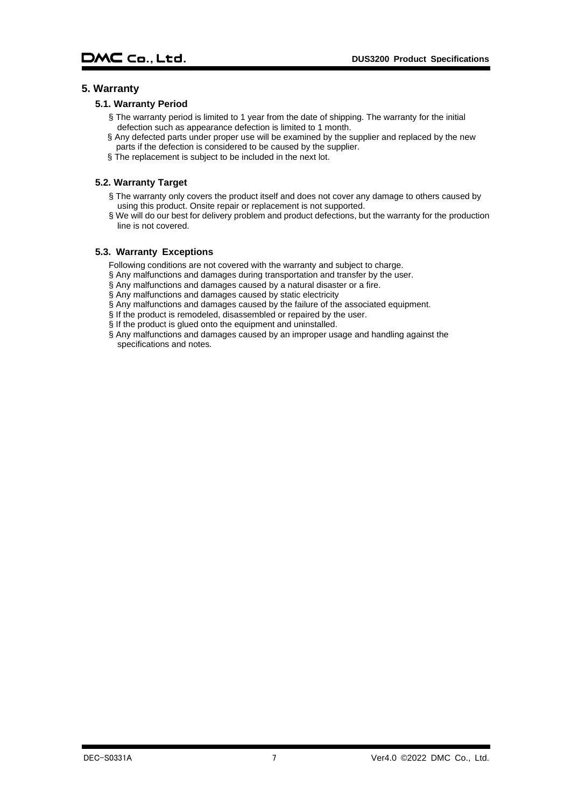### <span id="page-7-1"></span><span id="page-7-0"></span>**5. Warranty**

#### **5.1. Warranty Period**

- § The warranty period is limited to 1 year from the date of shipping. The warranty for the initial defection such as appearance defection is limited to 1 month.
- § Any defected parts under proper use will be examined by the supplier and replaced by the new parts if the defection is considered to be caused by the supplier.
- § The replacement is subject to be included in the next lot.

#### <span id="page-7-2"></span>**5.2. Warranty Target**

- § The warranty only covers the product itself and does not cover any damage to others caused by using this product. Onsite repair or replacement is not supported.
- § We will do our best for delivery problem and product defections, but the warranty for the production line is not covered.

#### <span id="page-7-3"></span>**5.3. Warranty Exceptions**

Following conditions are not covered with the warranty and subject to charge.

- § Any malfunctions and damages during transportation and transfer by the user.
- § Any malfunctions and damages caused by a natural disaster or a fire.
- § Any malfunctions and damages caused by static electricity
- § Any malfunctions and damages caused by the failure of the associated equipment.
- § If the product is remodeled, disassembled or repaired by the user.
- § If the product is glued onto the equipment and uninstalled.
- $\S$  Any malfunctions and damages caused by an improper usage and handling against the specifications and notes.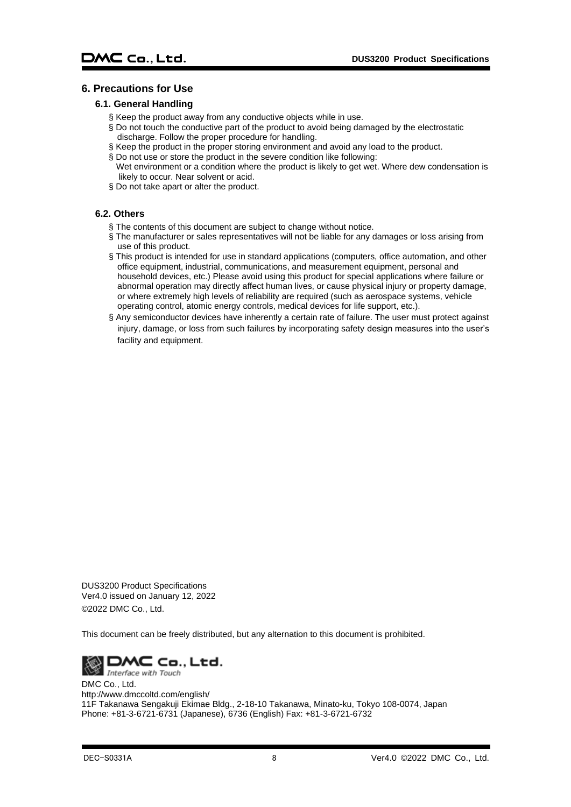# <span id="page-8-1"></span><span id="page-8-0"></span>**6. Precautions for Use**

#### **6.1. General Handling**

- § Keep the product away from any conductive objects while in use.
- § Do not touch the conductive part of the product to avoid being damaged by the electrostatic discharge. Follow the proper procedure for handling.
- § Keep the product in the proper storing environment and avoid any load to the product.
- § Do not use or store the product in the severe condition like following: Wet environment or a condition where the product is likely to get wet. Where dew condensation is likely to occur. Near solvent or acid.
- § Do not take apart or alter the product.

## <span id="page-8-2"></span>**6.2. Others**

- § The contents of this document are subject to change without notice.
- § The manufacturer or sales representatives will not be liable for any damages or loss arising from use of this product.
- § This product is intended for use in standard applications (computers, office automation, and other office equipment, industrial, communications, and measurement equipment, personal and household devices, etc.) Please avoid using this product for special applications where failure or abnormal operation may directly affect human lives, or cause physical injury or property damage, or where extremely high levels of reliability are required (such as aerospace systems, vehicle operating control, atomic energy controls, medical devices for life support, etc.).
- § Any semiconductor devices have inherently a certain rate of failure. The user must protect against injury, damage, or loss from such failures by incorporating safety design measures into the user's facility and equipment.

DUS3200 Product Specifications Ver4.0 issued on January 12, 2022 ©2022 DMC Co., Ltd.

This document can be freely distributed, but any alternation to this document is prohibited.



DMC Co., Ltd. http://www.dmccoltd.com/english/ 11F Takanawa Sengakuji Ekimae Bldg., 2-18-10 Takanawa, Minato-ku, Tokyo 108-0074, Japan Phone: +81-3-6721-6731 (Japanese), 6736 (English) Fax: +81-3-6721-6732